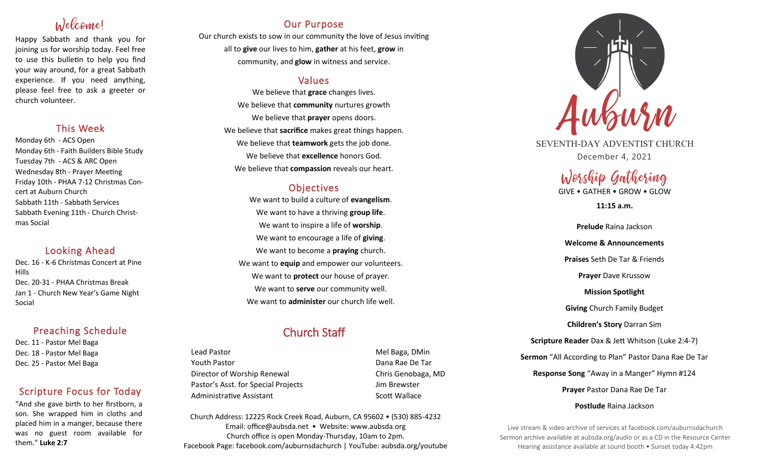# Welcome!

Happy Sabbath and thank you for joining us for worship today. Feel free to use this bulletin to help you find your way around, for a great Sabbath experience. If you need anything, please feel free to ask a greeter or church volunteer.

## This Week

Monday 6th - ACS Open Monday 6th - Faith Builders Bible Study Tuesday 7th - ACS & ARC Open Wednesday 8th - Prayer Meeting Friday 10th - PHAA 7-12 Christmas Concert at Auburn Church Sabbath 11th - Sabbath Services Sabbath Evening 11th - Church Christmas Social

# Looking Ahead

Dec. 16 - K-6 Christmas Concert at Pine Hills Dec. 20-31 - PHAA Christmas Break Jan 1 - Church New Year's Game Night Social

## Preaching Schedule

Dec. 11 - Pastor Mel Baga Dec. 18 - Pastor Mel Baga Dec. 25 - Pastor Mel Baga

# Scripture Focus for Today

"And she gave birth to her firstborn, a son. She wrapped him in cloths and placed him in a manger, because there was no guest room available for them." **Luke 2:7**

# Our Purpose

Our church exists to sow in our community the love of Jesus inviting all to **give** our lives to him, **gather** at his feet, **grow** in community, and **glow** in witness and service.

## Values

We believe that **grace** changes lives. We believe that **community** nurtures growth We believe that **prayer** opens doors. We believe that **sacrifice** makes great things happen. We believe that **teamwork** gets the job done. We believe that **excellence** honors God. We believe that **compassion** reveals our heart.

## **Objectives**

We want to build a culture of **evangelism**. We want to have a thriving **group life**. We want to inspire a life of **worship**. We want to encourage a life of **giving**. We want to become a **praying** church. We want to **equip** and empower our volunteers. We want to **protect** our house of prayer. We want to **serve** our community well. We want to **administer** our church life well.

# Church Staff

Lead Pastor **Mel Baga, DMin** Youth Pastor Dana Rae De Tar Director of Worship Renewal **Chris Genobaga**, MD Pastor's Asst. for Special Projects Fig. 3.1 Jim Brewster Administrative Assistant National Controllery Scott Wallace

Church Address: 12225 Rock Creek Road, Auburn, CA 95602 • (530) 885-4232 Email: office@aubsda.net • Website: www.aubsda.org Church office is open Monday-Thursday, 10am to 2pm. Facebook Page: facebook.com/auburnsdachurch | YouTube: aubsda.org/youtube



SEVENTH-DAY ADVENTIST CHURCH December 4, 2021

# Worship Gathering

GIVE • GATHER • GROW • GLOW

**11:15 a.m.**

**Prelude** Raina Jackson **Welcome & Announcements Praises** Seth De Tar & Friends **Prayer** Dave Krussow **Mission Spotlight Giving** Church Family Budget **Children's Story** Darran Sim **Scripture Reader** Dax & Jett Whitson (Luke 2:4-7) **Sermon** "All According to Plan" Pastor Dana Rae De Tar **Response Song** "Away in a Manger" Hymn #124 **Prayer** Pastor Dana Rae De Tar **Postlude** Raina Jackson

Live stream & video archive of services at facebook.com/auburnsdachurch Sermon archive available at aubsda.org/audio or as a CD in the Resource Center Hearing assistance available at sound booth • Sunset today 4:42pm